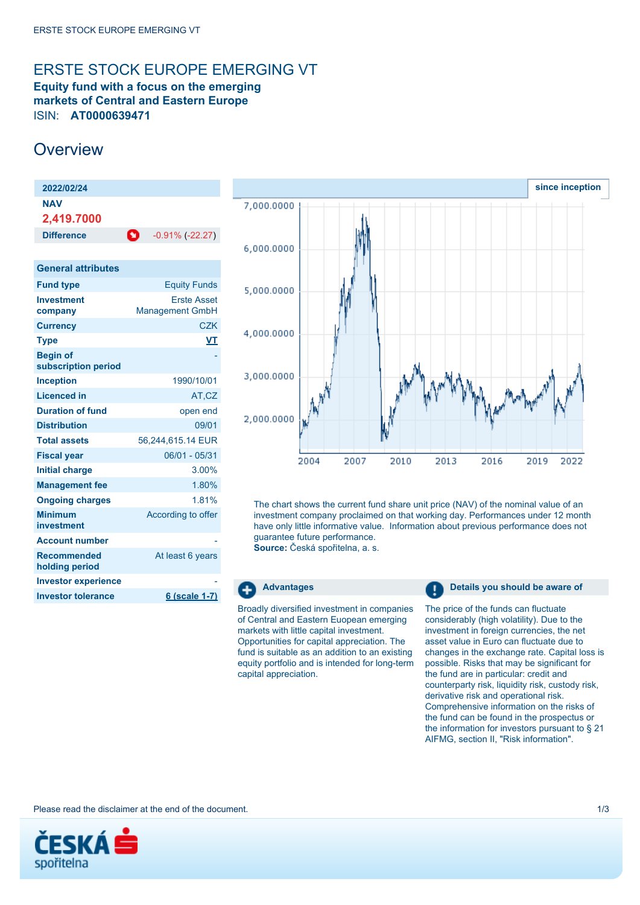# <span id="page-0-0"></span>ERSTE STOCK EUROPE EMERGING VT

**Equity fund with a focus on the emerging markets of Central and Eastern Europe** ISIN: **AT0000639471**

# **Overview**

| 2022/02/24                             |                                              |
|----------------------------------------|----------------------------------------------|
| <b>NAV</b><br>2,419.7000               |                                              |
| <b>Difference</b>                      | O<br>$-0.91\%$ ( $-22.27$ )                  |
|                                        |                                              |
| <b>General attributes</b>              |                                              |
| <b>Fund type</b>                       | <b>Equity Funds</b>                          |
| <b>Investment</b><br>company           | <b>Erste Asset</b><br><b>Management GmbH</b> |
| <b>Currency</b>                        | <b>CZK</b>                                   |
| <b>Type</b>                            | VT                                           |
| <b>Begin of</b><br>subscription period |                                              |
| <b>Inception</b>                       | 1990/10/01                                   |
| <b>Licenced in</b>                     | AT,CZ                                        |
| <b>Duration of fund</b>                | open end                                     |
| <b>Distribution</b>                    | 09/01                                        |
| <b>Total assets</b>                    | 56,244,615.14 EUR                            |
| <b>Fiscal year</b>                     | 06/01 - 05/31                                |
| <b>Initial charge</b>                  | $3.00\%$                                     |
| <b>Management fee</b>                  | 1.80%                                        |
| <b>Ongoing charges</b>                 | 1.81%                                        |
| <b>Minimum</b><br>investment           | According to offer                           |
| <b>Account number</b>                  |                                              |
| <b>Recommended</b><br>holding period   | At least 6 years                             |

**Investor tolerance 6 (scale 1-7)**



The chart shows the current fund share unit price (NAV) of the nominal value of an investment company proclaimed on that working day. Performances under 12 month have only little informative value. Information about previous performance does not guarantee future performance.

**Source:** Česká spořitelna, a. s.

Θ

Broadly diversified investment in companies of Central and Eastern Euopean emerging markets with little capital investment. Opportunities for capital appreciation. The fund is suitable as an addition to an existing equity portfolio and is intended for long-term capital appreciation.

**Advantages Details you should be aware of** 

The price of the funds can fluctuate considerably (high volatility). Due to the investment in foreign currencies, the net asset value in Euro can fluctuate due to changes in the exchange rate. Capital loss is possible. Risks that may be significant for the fund are in particular: credit and counterparty risk, liquidity risk, custody risk, derivative risk and operational risk. Comprehensive information on the risks of the fund can be found in the prospectus or the information for investors pursuant to § 21 AIFMG, section II, "Risk information".

Please read the disclaimer at the end of the document. 1/3



**Investor experience**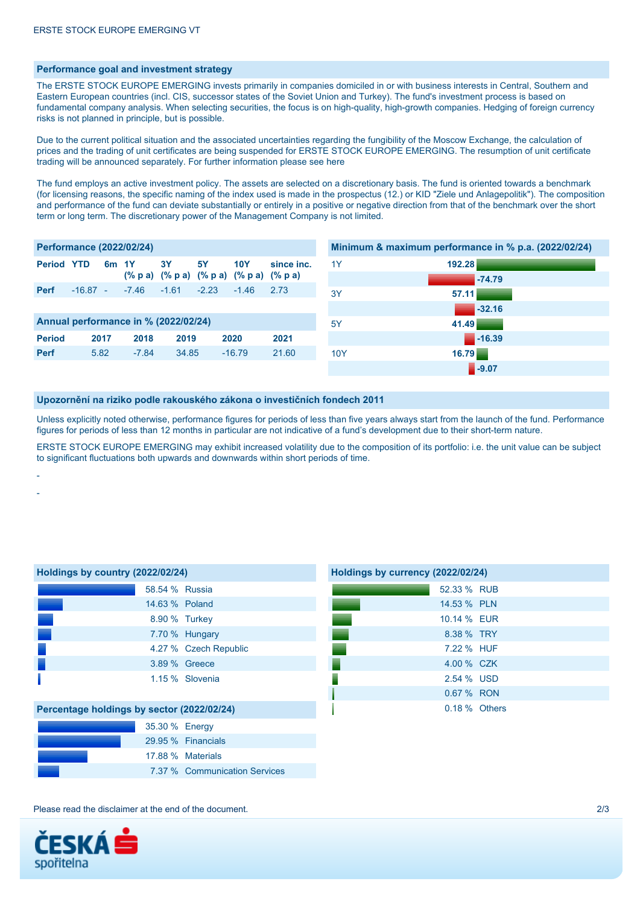## **Performance goal and investment strategy**

The ERSTE STOCK EUROPE EMERGING invests primarily in companies domiciled in or with business interests in Central, Southern and Eastern European countries (incl. CIS, successor states of the Soviet Union and Turkey). The fund's investment process is based on fundamental company analysis. When selecting securities, the focus is on high-quality, high-growth companies. Hedging of foreign currency risks is not planned in principle, but is possible.

Due to the current political situation and the associated uncertainties regarding the fungibility of the Moscow Exchange, the calculation of prices and the trading of unit certificates are being suspended for ERSTE STOCK EUROPE EMERGING. The resumption of unit certificate trading will be announced separately. For further information please see [here](https://www.erste-am.at/en/private-investors/press/erste-am-news/2022/03/22/current-informationen-erste-stock-europe-emerging)

The fund employs an active investment policy. The assets are selected on a discretionary basis. The fund is oriented towards a benchmark (for licensing reasons, the specific naming of the index used is made in the prospectus (12.) or KID "Ziele und Anlagepolitik"). The composition and performance of the fund can deviate substantially or entirely in a positive or negative direction from that of the benchmark over the short term or long term. The discretionary power of the Management Company is not limited.

| <b>Performance (2022/02/24)</b>      |            |                   |         |           |           |                                         |            |            | Minimum & maximum performance in % p.a. (2022/02/24) |
|--------------------------------------|------------|-------------------|---------|-----------|-----------|-----------------------------------------|------------|------------|------------------------------------------------------|
| <b>Period YTD</b>                    |            | 6 <sub>m</sub> 1Y |         | <b>3Y</b> | <b>5Y</b> | <b>10Y</b>                              | since inc. | 1Y         | 192.28                                               |
|                                      |            |                   |         |           |           | (% p a) (% p a) (% p a) (% p a) (% p a) |            |            | $-74.79$                                             |
| <b>Perf</b>                          | $-16.87 -$ |                   | $-7.46$ | $-1.61$   | $-2.23$   | $-1.46$                                 | 2.73       | 3Y         | 57.11                                                |
|                                      |            |                   |         |           |           |                                         |            |            | $-32.16$                                             |
| Annual performance in % (2022/02/24) |            |                   |         |           |           |                                         |            | 5Y         | 41.49                                                |
| <b>Period</b>                        | 2017       |                   | 2018    | 2019      |           | 2020                                    | 2021       |            | $\blacksquare$ -16.39                                |
| <b>Perf</b>                          | 5.82       |                   | $-7.84$ | 34.85     |           | $-16.79$                                | 21.60      | <b>10Y</b> | 16.79                                                |
|                                      |            |                   |         |           |           |                                         |            |            | $-9.07$                                              |

#### **Upozornění na riziko podle rakouského zákona o investičních fondech 2011**

Unless explicitly noted otherwise, performance figures for periods of less than five years always start from the launch of the fund. Performance figures for periods of less than 12 months in particular are not indicative of a fund's development due to their short-term nature.

ERSTE STOCK EUROPE EMERGING may exhibit increased volatility due to the composition of its portfolio: i.e. the unit value can be subject to significant fluctuations both upwards and downwards within short periods of time.

| Holdings by country (2022/02/24)           |                       |  |  |  |
|--------------------------------------------|-----------------------|--|--|--|
| 58.54 % Russia                             |                       |  |  |  |
| 14.63 % Poland                             |                       |  |  |  |
| 8.90 % Turkey                              |                       |  |  |  |
|                                            | 7.70 % Hungary        |  |  |  |
|                                            | 4.27 % Czech Republic |  |  |  |
|                                            | 3.89 % Greece         |  |  |  |
|                                            | 1.15 % Slovenia       |  |  |  |
| Percentage holdings by sector (2022/02/24) |                       |  |  |  |
| 35.30 % Energy                             |                       |  |  |  |
|                                            | 29.95 % Financials    |  |  |  |
|                                            | 17.88 % Materials     |  |  |  |

7.37 % Communication Services

| Holdings by currency (2022/02/24) |               |  |  |  |
|-----------------------------------|---------------|--|--|--|
|                                   | 52.33 % RUB   |  |  |  |
|                                   | 14.53 % PLN   |  |  |  |
|                                   | 10.14 % EUR   |  |  |  |
|                                   | 8.38 % TRY    |  |  |  |
|                                   | 7.22 % HUF    |  |  |  |
|                                   | 4.00 % CZK    |  |  |  |
|                                   | 2.54 % USD    |  |  |  |
|                                   | 0.67 % RON    |  |  |  |
|                                   | 0.18 % Others |  |  |  |

Please read the disclaimer at the end of the document. 2/3



- -